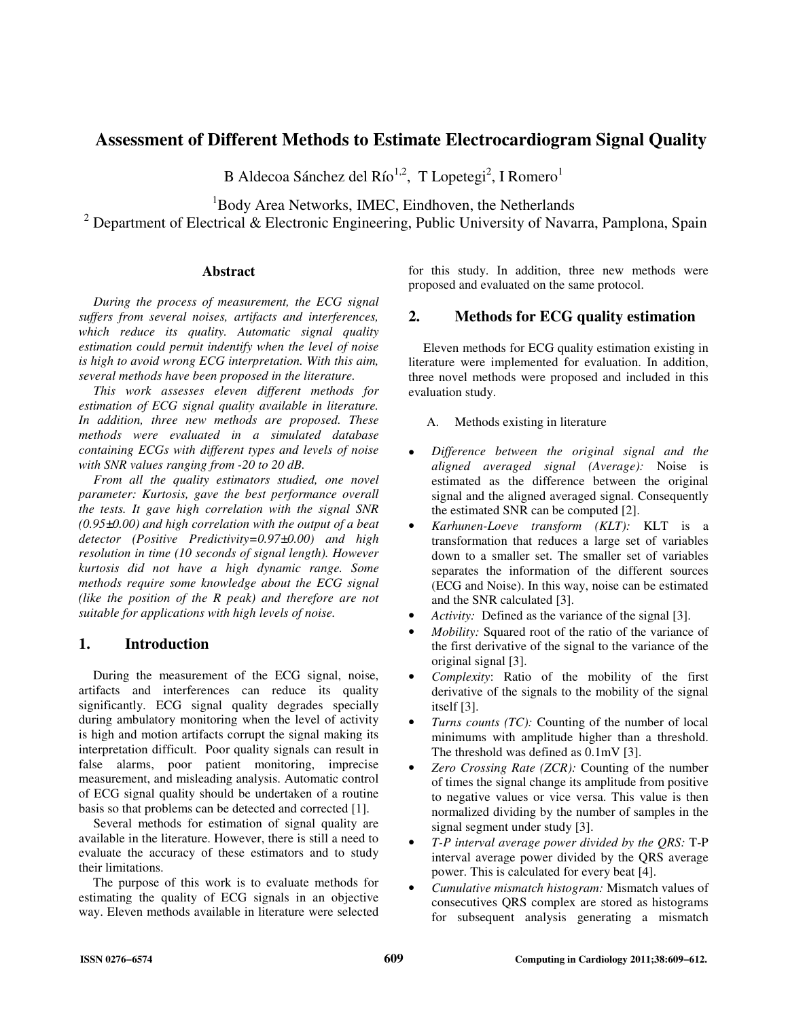# **Assessment of Different Methods to Estimate Electrocardiogram Signal Quality**

B Aldecoa Sánchez del Río<sup>1,2</sup>, T Lopetegi<sup>2</sup>, I Romero<sup>1</sup>

<sup>1</sup>Body Area Networks, IMEC, Eindhoven, the Netherlands

<sup>2</sup> Department of Electrical & Electronic Engineering, Public University of Navarra, Pamplona, Spain

## **Abstract**

*During the process of measurement, the ECG signal suffers from several noises, artifacts and interferences, which reduce its quality. Automatic signal quality estimation could permit indentify when the level of noise is high to avoid wrong ECG interpretation. With this aim, several methods have been proposed in the literature.* 

*This work assesses eleven different methods for estimation of ECG signal quality available in literature. In addition, three new methods are proposed. These methods were evaluated in a simulated database containing ECGs with different types and levels of noise with SNR values ranging from -20 to 20 dB.*

*From all the quality estimators studied, one novel parameter: Kurtosis, gave the best performance overall the tests. It gave high correlation with the signal SNR (0.95±0.00) and high correlation with the output of a beat detector (Positive Predictivity=0.97±0.00) and high resolution in time (10 seconds of signal length). However kurtosis did not have a high dynamic range. Some methods require some knowledge about the ECG signal (like the position of the R peak) and therefore are not suitable for applications with high levels of noise.* 

# **1. Introduction**

During the measurement of the ECG signal, noise, artifacts and interferences can reduce its quality significantly. ECG signal quality degrades specially during ambulatory monitoring when the level of activity is high and motion artifacts corrupt the signal making its interpretation difficult. Poor quality signals can result in false alarms, poor patient monitoring, imprecise measurement, and misleading analysis. Automatic control of ECG signal quality should be undertaken of a routine basis so that problems can be detected and corrected [1].

Several methods for estimation of signal quality are available in the literature. However, there is still a need to evaluate the accuracy of these estimators and to study their limitations.

The purpose of this work is to evaluate methods for estimating the quality of ECG signals in an objective way. Eleven methods available in literature were selected for this study. In addition, three new methods were proposed and evaluated on the same protocol.

# **2. Methods for ECG quality estimation**

Eleven methods for ECG quality estimation existing in literature were implemented for evaluation. In addition, three novel methods were proposed and included in this evaluation study.

## A. Methods existing in literature

- *Difference between the original signal and the aligned averaged signal (Average):* Noise is estimated as the difference between the original signal and the aligned averaged signal. Consequently the estimated SNR can be computed [2].
- *Karhunen-Loeve transform (KLT):* KLT is a transformation that reduces a large set of variables down to a smaller set. The smaller set of variables separates the information of the different sources (ECG and Noise). In this way, noise can be estimated and the SNR calculated [3].
- Activity: Defined as the variance of the signal [3].
- *Mobility:* Squared root of the ratio of the variance of the first derivative of the signal to the variance of the original signal [3].
- *Complexity*: Ratio of the mobility of the first derivative of the signals to the mobility of the signal itself [3].
- *Turns counts (TC):* Counting of the number of local minimums with amplitude higher than a threshold. The threshold was defined as 0.1mV [3].
- *Zero Crossing Rate (ZCR):* Counting of the number of times the signal change its amplitude from positive to negative values or vice versa. This value is then normalized dividing by the number of samples in the signal segment under study [3].
- *T-P interval average power divided by the QRS:* T-P interval average power divided by the QRS average power. This is calculated for every beat [4].
- *Cumulative mismatch histogram:* Mismatch values of consecutives QRS complex are stored as histograms for subsequent analysis generating a mismatch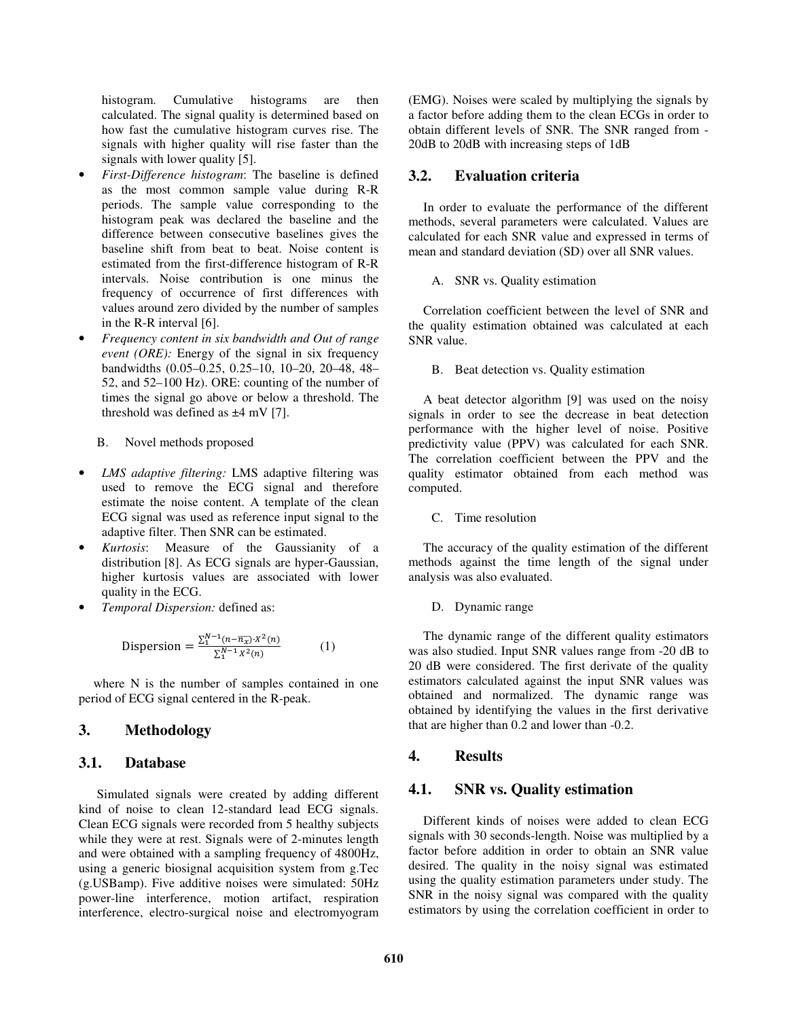histogram. Cumulative histograms are then calculated. The signal quality is determined based on how fast the cumulative histogram curves rise. The signals with higher quality will rise faster than the signals with lower quality [5].

- *First-Difference histogram*: The baseline is defined as the most common sample value during R-R periods. The sample value corresponding to the histogram peak was declared the baseline and the difference between consecutive baselines gives the baseline shift from beat to beat. Noise content is estimated from the first-difference histogram of R-R intervals. Noise contribution is one minus the frequency of occurrence of first differences with values around zero divided by the number of samples in the R-R interval [6].
- *Frequency content in six bandwidth and Out of range event (ORE):* Energy of the signal in six frequency bandwidths (0.05–0.25, 0.25–10, 10–20, 20–48, 48– 52, and 52–100 Hz). ORE: counting of the number of times the signal go above or below a threshold. The threshold was defined as  $\pm 4$  mV [7].

#### B. Novel methods proposed

- *LMS adaptive filtering:* LMS adaptive filtering was used to remove the ECG signal and therefore estimate the noise content. A template of the clean ECG signal was used as reference input signal to the adaptive filter. Then SNR can be estimated.
- *Kurtosis*: Measure of the Gaussianity of a distribution [8]. As ECG signals are hyper-Gaussian, higher kurtosis values are associated with lower quality in the ECG.
- *Temporal Dispersion:* defined as:

$$
\text{Disperson} = \frac{\sum_{1}^{N-1} (n - \overline{n}_{\overline{x}}) \cdot X^{2}(n)}{\sum_{1}^{N-1} X^{2}(n)} \tag{1}
$$

where N is the number of samples contained in one period of ECG signal centered in the R-peak.

## **3. Methodology**

## **3.1. Database**

Simulated signals were created by adding different kind of noise to clean 12-standard lead ECG signals. Clean ECG signals were recorded from 5 healthy subjects while they were at rest. Signals were of 2-minutes length and were obtained with a sampling frequency of 4800Hz, using a generic biosignal acquisition system from g.Tec (g.USBamp). Five additive noises were simulated: 50Hz power-line interference, motion artifact, respiration interference, electro-surgical noise and electromyogram

(EMG). Noises were scaled by multiplying the signals by a factor before adding them to the clean ECGs in order to obtain different levels of SNR. The SNR ranged from - 20dB to 20dB with increasing steps of 1dB

## **3.2. Evaluation criteria**

In order to evaluate the performance of the different methods, several parameters were calculated. Values are calculated for each SNR value and expressed in terms of mean and standard deviation (SD) over all SNR values.

#### A. SNR vs. Quality estimation

Correlation coefficient between the level of SNR and the quality estimation obtained was calculated at each SNR value.

B. Beat detection vs. Quality estimation

A beat detector algorithm [9] was used on the noisy signals in order to see the decrease in beat detection performance with the higher level of noise. Positive predictivity value (PPV) was calculated for each SNR. The correlation coefficient between the PPV and the quality estimator obtained from each method was computed.

#### C. Time resolution

The accuracy of the quality estimation of the different methods against the time length of the signal under analysis was also evaluated.

#### D. Dynamic range

The dynamic range of the different quality estimators was also studied. Input SNR values range from -20 dB to 20 dB were considered. The first derivate of the quality estimators calculated against the input SNR values was obtained and normalized. The dynamic range was obtained by identifying the values in the first derivative that are higher than 0.2 and lower than -0.2.

## **4. Results**

## **4.1. SNR vs. Quality estimation**

Different kinds of noises were added to clean ECG signals with 30 seconds-length. Noise was multiplied by a factor before addition in order to obtain an SNR value desired. The quality in the noisy signal was estimated using the quality estimation parameters under study. The SNR in the noisy signal was compared with the quality estimators by using the correlation coefficient in order to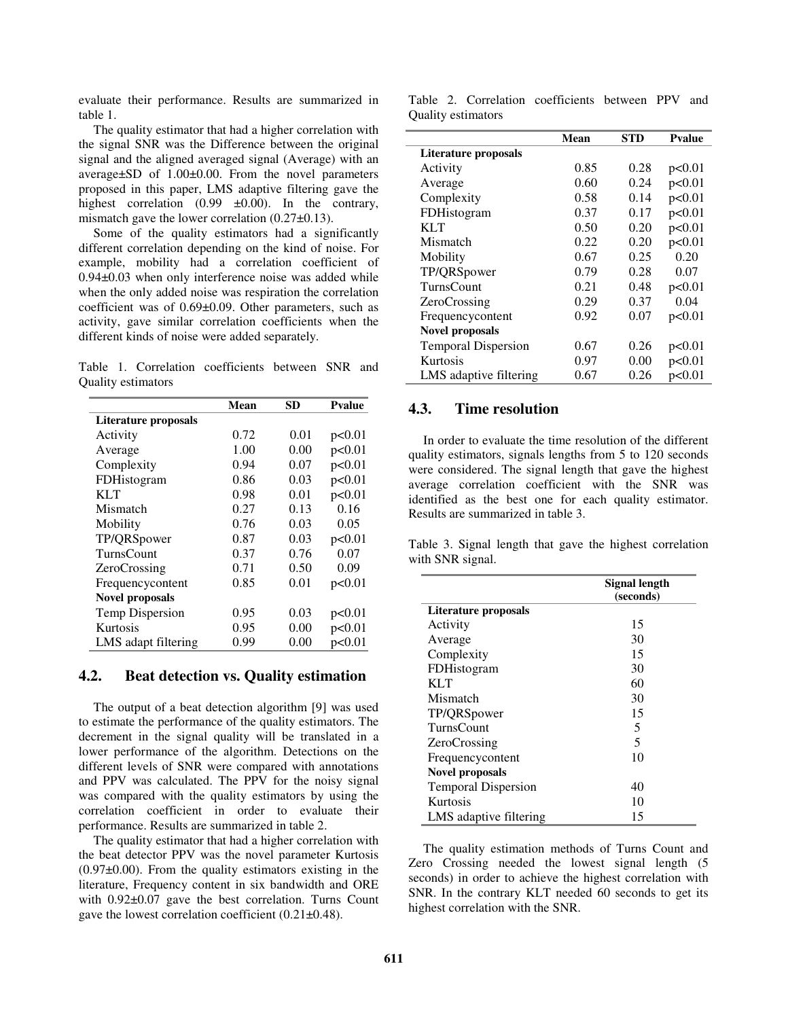evaluate their performance. Results are summarized in table 1.

The quality estimator that had a higher correlation with the signal SNR was the Difference between the original signal and the aligned averaged signal (Average) with an average±SD of 1.00±0.00. From the novel parameters proposed in this paper, LMS adaptive filtering gave the highest correlation  $(0.99 \pm 0.00)$ . In the contrary, mismatch gave the lower correlation (0.27±0.13).

Some of the quality estimators had a significantly different correlation depending on the kind of noise. For example, mobility had a correlation coefficient of 0.94±0.03 when only interference noise was added while when the only added noise was respiration the correlation coefficient was of 0.69±0.09. Other parameters, such as activity, gave similar correlation coefficients when the different kinds of noise were added separately.

Table 1. Correlation coefficients between SNR and Quality estimators

|                        | Mean | SD   | <b>Pvalue</b> |
|------------------------|------|------|---------------|
| Literature proposals   |      |      |               |
| Activity               | 0.72 | 0.01 | p<0.01        |
| Average                | 1.00 | 0.00 | p<0.01        |
| Complexity             | 0.94 | 0.07 | p<0.01        |
| FDHistogram            | 0.86 | 0.03 | p<0.01        |
| KLT                    | 0.98 | 0.01 | p<0.01        |
| Mismatch               | 0.27 | 0.13 | 0.16          |
| Mobility               | 0.76 | 0.03 | 0.05          |
| TP/QRSpower            | 0.87 | 0.03 | p<0.01        |
| <b>TurnsCount</b>      | 0.37 | 0.76 | 0.07          |
| <b>ZeroCrossing</b>    | 0.71 | 0.50 | 0.09          |
| Frequencycontent       | 0.85 | 0.01 | p<0.01        |
| <b>Novel proposals</b> |      |      |               |
| <b>Temp Dispersion</b> | 0.95 | 0.03 | p<0.01        |
| Kurtosis               | 0.95 | 0.00 | p<0.01        |
| LMS adapt filtering    | 0.99 | 0.00 | p<0.01        |

## **4.2. Beat detection vs. Quality estimation**

The output of a beat detection algorithm [9] was used to estimate the performance of the quality estimators. The decrement in the signal quality will be translated in a lower performance of the algorithm. Detections on the different levels of SNR were compared with annotations and PPV was calculated. The PPV for the noisy signal was compared with the quality estimators by using the correlation coefficient in order to evaluate their performance. Results are summarized in table 2.

The quality estimator that had a higher correlation with the beat detector PPV was the novel parameter Kurtosis  $(0.97\pm0.00)$ . From the quality estimators existing in the literature, Frequency content in six bandwidth and ORE with 0.92±0.07 gave the best correlation. Turns Count gave the lowest correlation coefficient (0.21±0.48).

Table 2. Correlation coefficients between PPV and Quality estimators

|                            | Mean | <b>STD</b> | <b>Pyalue</b> |
|----------------------------|------|------------|---------------|
| Literature proposals       |      |            |               |
| Activity                   | 0.85 | 0.28       | p<0.01        |
| Average                    | 0.60 | 0.24       | p<0.01        |
| Complexity                 | 0.58 | 0.14       | p<0.01        |
| FDHistogram                | 0.37 | 0.17       | p<0.01        |
| KL T                       | 0.50 | 0.20       | p<0.01        |
| Mismatch                   | 0.22 | 0.20       | p<0.01        |
| Mobility                   | 0.67 | 0.25       | 0.20          |
| TP/QRSpower                | 0.79 | 0.28       | 0.07          |
| <b>TurnsCount</b>          | 0.21 | 0.48       | p<0.01        |
| ZeroCrossing               | 0.29 | 0.37       | 0.04          |
| Frequencycontent           | 0.92 | 0.07       | p<0.01        |
| <b>Novel proposals</b>     |      |            |               |
| <b>Temporal Dispersion</b> | 0.67 | 0.26       | p<0.01        |
| Kurtosis                   | 0.97 | 0.00       | p<0.01        |
| LMS adaptive filtering     | 0.67 | 0.26       | p<0.01        |

## **4.3. Time resolution**

 $\overline{a}$ 

In order to evaluate the time resolution of the different quality estimators, signals lengths from 5 to 120 seconds were considered. The signal length that gave the highest average correlation coefficient with the SNR was identified as the best one for each quality estimator. Results are summarized in table 3.

Table 3. Signal length that gave the highest correlation with SNR signal.

|                             | Signal length<br>(seconds) |  |
|-----------------------------|----------------------------|--|
| <b>Literature proposals</b> |                            |  |
| Activity                    | 15                         |  |
| Average                     | 30                         |  |
| Complexity                  | 15                         |  |
| FDHistogram                 | 30                         |  |
| KLT                         | 60                         |  |
| Mismatch                    | 30                         |  |
| TP/QRSpower                 | 15                         |  |
| TurnsCount                  | 5                          |  |
| ZeroCrossing                | 5                          |  |
| Frequencycontent            | 10                         |  |
| <b>Novel proposals</b>      |                            |  |
| <b>Temporal Dispersion</b>  | 40                         |  |
| Kurtosis                    | 10                         |  |
| LMS adaptive filtering      | 15                         |  |

The quality estimation methods of Turns Count and Zero Crossing needed the lowest signal length (5 seconds) in order to achieve the highest correlation with SNR. In the contrary KLT needed 60 seconds to get its highest correlation with the SNR.